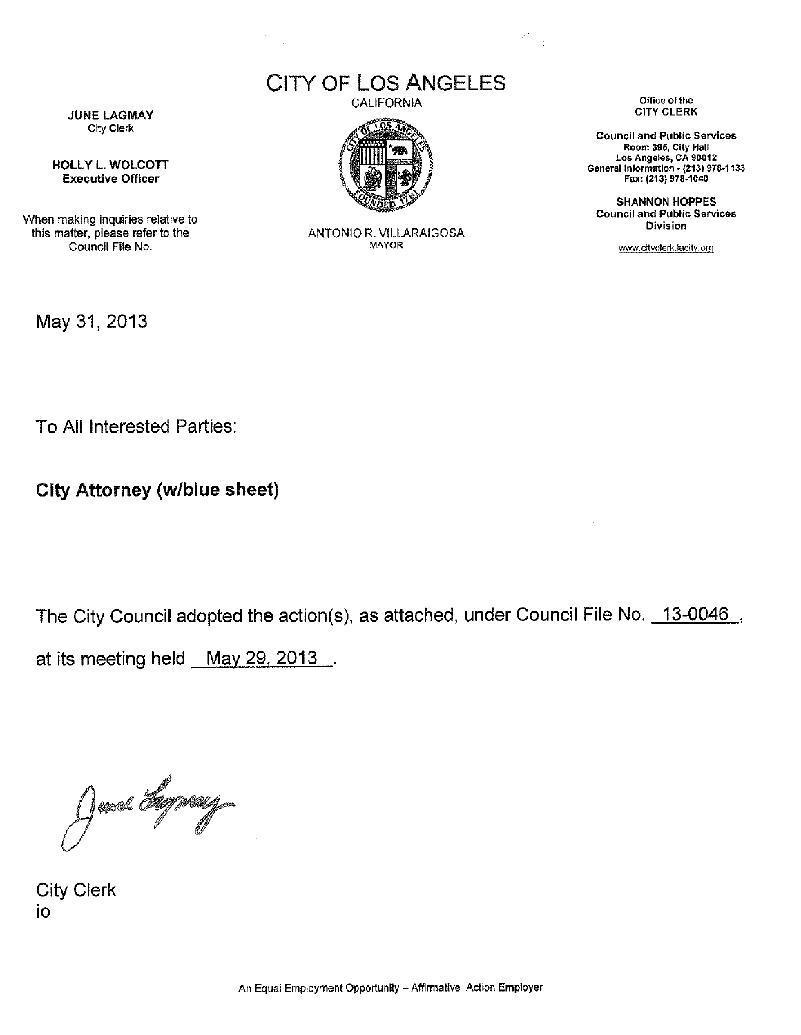CITY OF LOS ANGELES



ANTONIO R. VILLARAIGOSA MAYOR

CALIFORNIA **Office** of the CITY CLERK

 $\frac{1}{2}$ 

**Council and Public Services** Room 395, City Hall Los Angeles, CA 90012 General Information - (213) 978-1133 Fax: (213) 978-1040

**SHANNON HOPPES Council and Public Services Division**

www.cityclerk.lacity.org

**JUNE LAGMAY** City Clerk

**HOLLY L. WOLCOTT Executive Officer**

When making inquiries relative to this matter, please refer to the Council File No.

May 31, 2013

To All Interested Parties:

**City Attorney (w/blue sheet)**

The City Council adopted the action(s), as attached, under Council File No. 13-0046, at its meeting held May 29, 2013.

June Hyvey

City Clerk io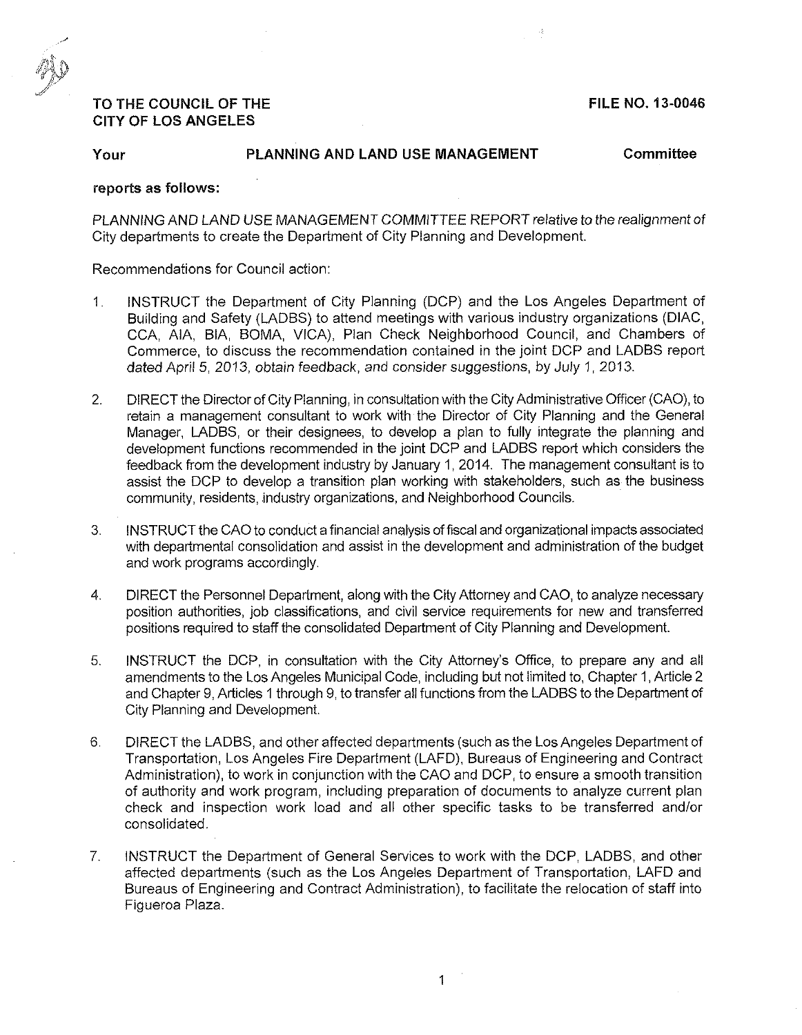#### **FILE NO. 13-0046**

# **TO THE COUNCIL OF THE CITY OF LOS ANGELES**

**Your PLANNING AND LAND USE MANAGEMENT Committee**

### **reports as follows:**

PLANNING AND LAND USE MANAGEMENT COMMITTEE REPORT *relative to* the realignment of City departments to create the Department of City Planning and Development.

Recommendations for Council action:

- 1. INSTRUCT the Department of City Planning (DCP) and the Los Angeles Department of Building and Safety (LADBS) to attend meetings with various industry organizations (DIAC, CCA, AIA, BIA, BOMA, VICA), Plan Check Neighborhood Council, and Chambers of Commerce, to discuss the recommendation contained in the joint DCP and LADBS report *dated April* 5, 2013, obtain feedback, and consider suggestions, by July 1, 2013.
- 2. DIRECT the Director of City Planning, in consultation with the CityAdministrative Officer (CAO), to retain a management consultant to work with the Director of City Planning and the General Manager, LADBS, or their designees, to develop a plan to fully integrate the planning and development functions recommended in the joint DCP and LADBS report which considers the feedback from the development industry by January 1,2014. The management consultant is to assist the DCP to develop a transition plan working with stakeholders, such as the business community, residents, industry organizations, and Neighborhood Councils.
- 3. INSTRUCT the CAO to conduct a financial analysis offiscal and organizational impacts associated with departmental consolidation and assist in the development and administration of the budget and work programs accordingly.
- 4. DIRECT the Personnel Department, along with the City Attorney and CAO, to analyze necessary position authorities, job classifications, and civil service requirements for new and transferred positions required to staff the consolidated Department of City Planning and Development.
- 5. INSTRUCT the DCP, in consultation with the City Attorney's Office, to prepare any and all amendments to the Los Angeles Municipal Code, including but not limited to, Chapter 1, Article 2 and Chapter 9, Articles <sup>1</sup> through 9, to transfer all functions from the LADBS to the Department of City Planning and Development.
- 6. DIRECT the LADBS, and other affected departments (such as the Los Angeles Department of Transportation, Los Angeles Fire Department (LAFD), Bureaus of Engineering and Contract Administration), to work in conjunction with the CAO and DCP, to ensure a smooth transition of authority and work program, including preparation of documents to analyze current plan check and inspection work load and all other specific tasks to be transferred and/or consolidated.
- 7. INSTRUCT the Department of General Services to work with the DCP, LADBS, and other affected departments (such as the Los Angeles Department of Transportation, LAFD and Bureaus of Engineering and Contract Administration), to facilitate the relocation of staff into Figueroa Plaza.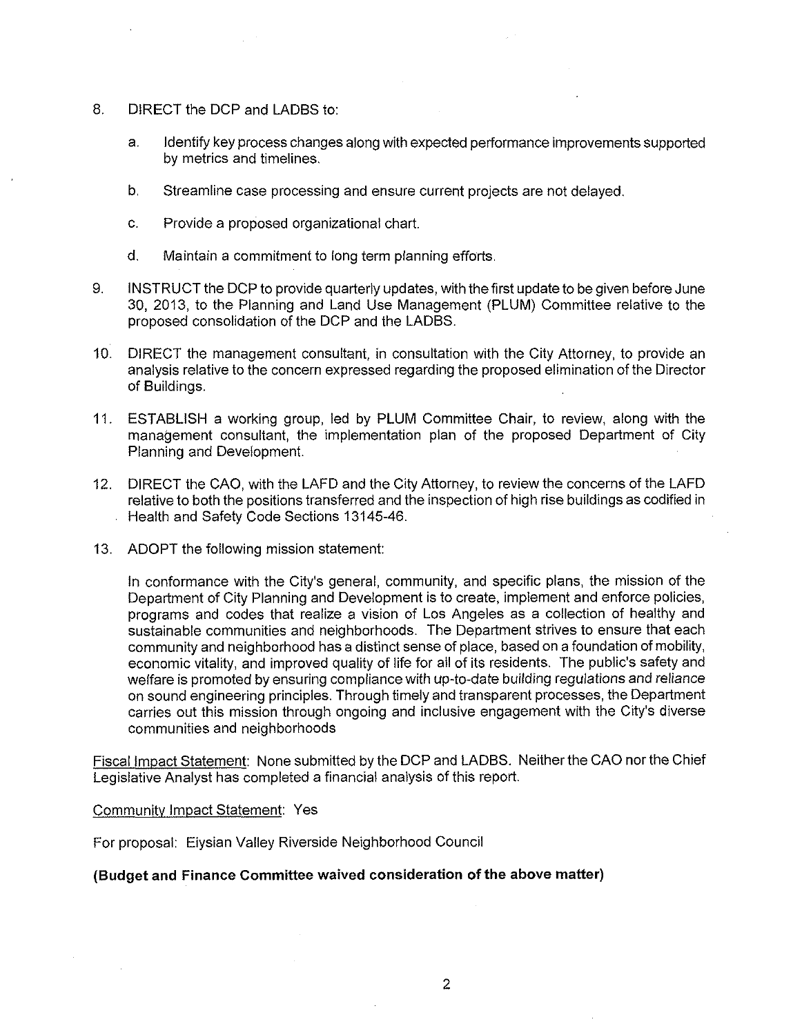- 8. DIRECT the DCP and LADBS to:
	- a. Identify key process changes along with expected performance improvements supported by metrics and timelines.
	- b. Streamline case processing and ensure current projects are not delayed.
	- c. Provide a proposed organizational chart.
	- d. Maintain a commitment to long term planning efforts.
- 9. INSTRUCT the DCP to provide quarterly updates, with the first update to be given before June 30, 2013, to the Planning and Land Use Management (PLUM) Committee relative to the proposed consolidation of the DCP and the LADBS.
- 10. DIRECT the management consultant, in consultation with the City Attorney, to provide an analysis relative to the concern expressed regarding the proposed elimination of the Director of Buildings.
- 11. ESTABLISH a working group, led by PLUM Committee Chair, to review, along with the management consultant, the implementation plan of the proposed Department of City Planning and Development.
- 12. DIRECT the CAO, with the LAFD and the City Attorney, to review the concerns of the LAFD relative to both the positions transferred and the inspection of high rise buildings as codified in Health and Safety Code Sections 13145-46.
- 13. ADOPT the following mission statement:

In conformance with the City's general, community, and specific plans, the mission of the Department of City Planning and Development is to create, implement and enforce policies, programs and codes that realize a vision of Los Angeles as a collection of healthy and sustainable communities and neighborhoods. The Department strives to ensure that each community and neighborhood has a distinct sense of place, based on a foundation of mobility, economic vitality, and improved quality of life for ail of its residents. The public's safety and welfare is promoted by ensuring compliance with up-to-date building regulations and reliance on sound engineering principles. Through timely and transparent processes, the Department carries out this mission through ongoing and inclusive engagement with the City's diverse communities and neighborhoods

Fiscal Impact Statement: None submitted by the DCP and LADBS. Neither the CAO nor the Chief Legislative Analyst has completed a financial analysis of this report.

#### Community Impact Statement: Yes

For proposal: Eiysian Valley Riverside Neighborhood Council

#### **(Budget and Finance Committee waived consideration of the above matter)**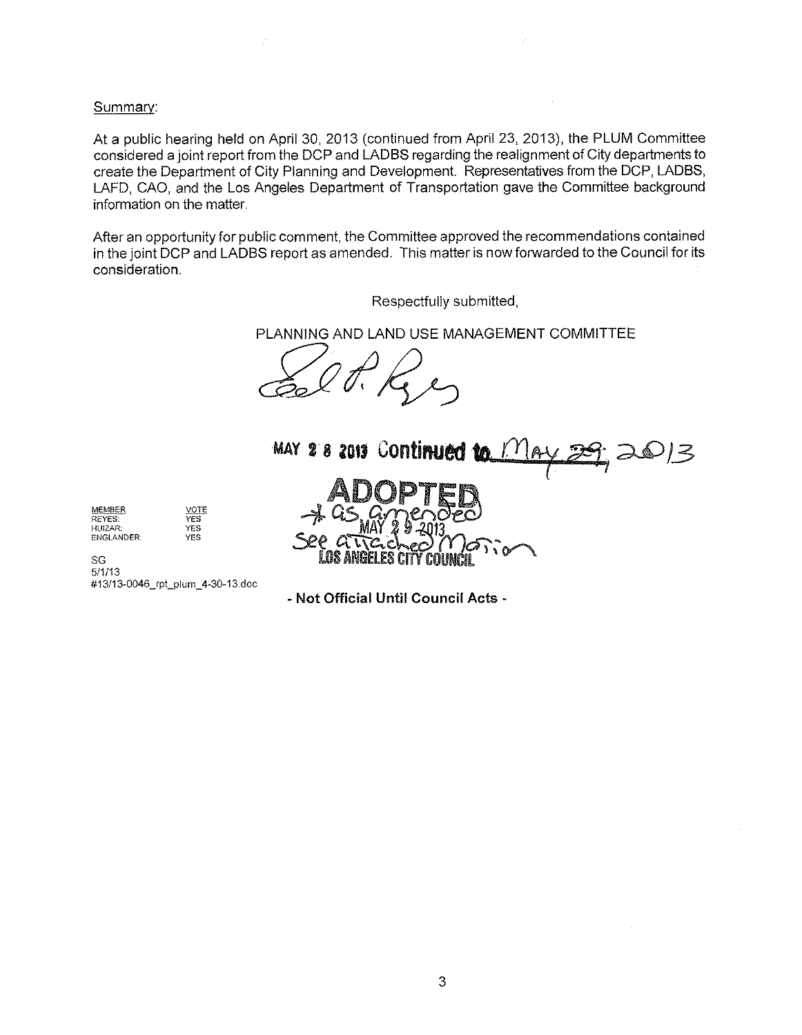#### Summary:

At a public hearing held on April 30, 2013 (continued from April 23, 2013), the PLUM Committee considered a joint report from the DCP and LADBS regarding the realignment of City departments to create the Department of City Planning and Development. Representatives from the DCP, LADBS, LAFD, CAO, and the Los Angeles Department of Transportation gave the Committee background information on the matter.

After an opportunity for public comment, the Committee approved the recommendations contained in the joint DCP and LADBS report as amended. This matter is now forwarded to the Council for its consideration.

Respectfully submitted

PLANNING AND LAND USE MANAGEMENT COMMITTEE



MEMBER REYES: HUiZAR: ENGLANDER: VOTE YES YES YES

SG 5/1/13 #13/13-0046\_rpt\_plum\_4-30-13.doc

**- Not Official Until Council Acts -**

 $\sim$